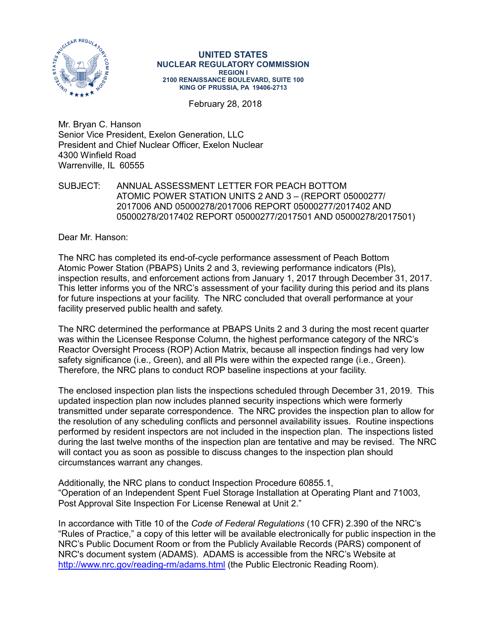

**UNITED STATES NUCLEAR REGULATORY COMMISSION REGION I 2100 RENAISSANCE BOULEVARD, SUITE 100 KING OF PRUSSIA, PA 19406-2713**

February 28, 2018

Mr. Bryan C. Hanson Senior Vice President, Exelon Generation, LLC President and Chief Nuclear Officer, Exelon Nuclear 4300 Winfield Road Warrenville, IL 60555

#### SUBJECT: ANNUAL ASSESSMENT LETTER FOR PEACH BOTTOM ATOMIC POWER STATION UNITS 2 AND 3 – (REPORT 05000277/ 2017006 AND 05000278/2017006 REPORT 05000277/2017402 AND 05000278/2017402 REPORT 05000277/2017501 AND 05000278/2017501)

Dear Mr. Hanson:

The NRC has completed its end-of-cycle performance assessment of Peach Bottom Atomic Power Station (PBAPS) Units 2 and 3, reviewing performance indicators (PIs), inspection results, and enforcement actions from January 1, 2017 through December 31, 2017. This letter informs you of the NRC's assessment of your facility during this period and its plans for future inspections at your facility. The NRC concluded that overall performance at your facility preserved public health and safety.

The NRC determined the performance at PBAPS Units 2 and 3 during the most recent quarter was within the Licensee Response Column, the highest performance category of the NRC's Reactor Oversight Process (ROP) Action Matrix, because all inspection findings had very low safety significance (i.e., Green), and all PIs were within the expected range (i.e., Green). Therefore, the NRC plans to conduct ROP baseline inspections at your facility.

The enclosed inspection plan lists the inspections scheduled through December 31, 2019. This updated inspection plan now includes planned security inspections which were formerly transmitted under separate correspondence. The NRC provides the inspection plan to allow for the resolution of any scheduling conflicts and personnel availability issues. Routine inspections performed by resident inspectors are not included in the inspection plan. The inspections listed during the last twelve months of the inspection plan are tentative and may be revised. The NRC will contact you as soon as possible to discuss changes to the inspection plan should circumstances warrant any changes.

Additionally, the NRC plans to conduct Inspection Procedure 60855.1, "Operation of an Independent Spent Fuel Storage Installation at Operating Plant and 71003, Post Approval Site Inspection For License Renewal at Unit 2."

In accordance with Title 10 of the *Code of Federal Regulations* (10 CFR) 2.390 of the NRC's "Rules of Practice," a copy of this letter will be available electronically for public inspection in the NRC's Public Document Room or from the Publicly Available Records (PARS) component of NRC's document system (ADAMS). ADAMS is accessible from the NRC's Website at <http://www.nrc.gov/reading-rm/adams.html> (the Public Electronic Reading Room).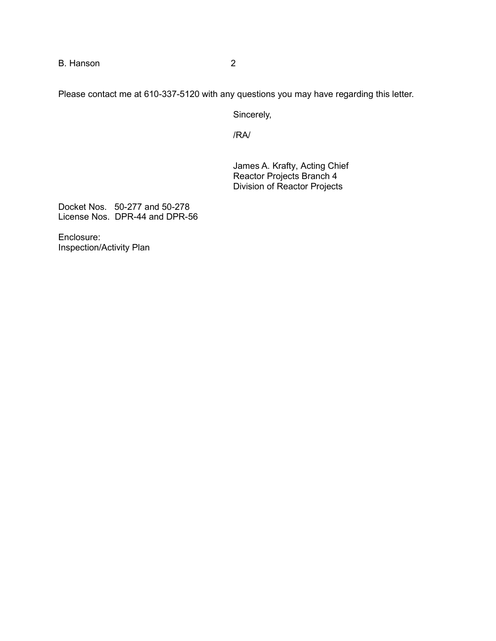B. Hanson 2

Please contact me at 610-337-5120 with any questions you may have regarding this letter.

Sincerely,

/RA/

James A. Krafty, Acting Chief Reactor Projects Branch 4 Division of Reactor Projects

Docket Nos. 50-277 and 50-278 License Nos. DPR-44 and DPR-56

Enclosure: Inspection/Activity Plan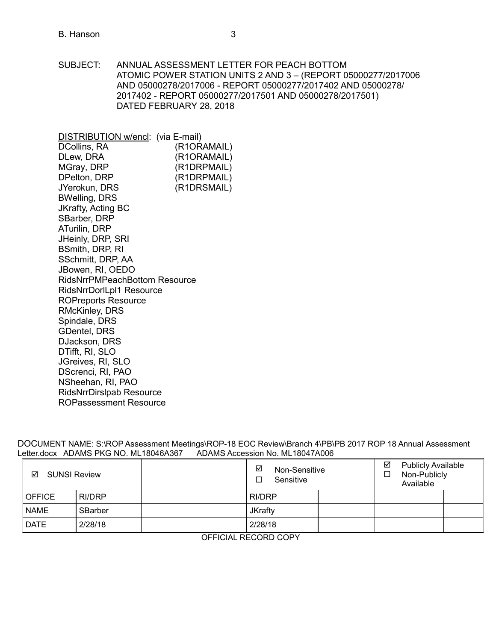#### B. Hanson 3

SUBJECT: ANNUAL ASSESSMENT LETTER FOR PEACH BOTTOM ATOMIC POWER STATION UNITS 2 AND 3 – (REPORT 05000277/2017006 AND 05000278/2017006 - REPORT 05000277/2017402 AND 05000278/ 2017402 - REPORT 05000277/2017501 AND 05000278/2017501) DATED FEBRUARY 28, 2018

DISTRIBUTION w/encl: (via E-mail) (R1ORAMAIL) (R1ORAMAIL) (R1DRPMAIL) (R1DRPMAIL) DCollins, RA DLew, DRA MGray, DRP DPelton, DRP JYerokun, DRS (R1DRSMAIL) BWelling, DRS JKrafty, Acting BC SBarber, DRP ATurilin, DRP JHeinly, DRP, SRI BSmith, DRP, RI SSchmitt, DRP, AA JBowen, RI, OEDO RidsNrrPMPeachBottom Resource RidsNrrDorlLpl1 Resource [ROPreports Reso](mailto:ROPreportsResource@nrc.gov)urce RMcKinley, DRS Spindale, DRS GDentel, DRS DJackson, DRS DTifft, RI, SLO JGreives, RI, SLO DScrenci, RI, PAO NSheehan, RI, PAO [RidsNrrDirslpab Resource](mailto:RidsNrrDirslpab@nrc.gov)  ROPassessment Resource

DOCUMENT NAME: S:\ROP Assessment Meetings\ROP-18 EOC Review\Branch 4\PB\PB 2017 ROP 18 Annual Assessment Letter.docx ADAMS PKG NO. ML18046A367 ADAMS Accession No. ML18047A006

| <b>SUNSI Review</b><br>☑ |         | ☑<br>Non-Sensitive<br>Sensitive |                | ☑<br><b>Publicly Available</b><br>Non-Publicly<br>Available |  |  |  |
|--------------------------|---------|---------------------------------|----------------|-------------------------------------------------------------|--|--|--|
| <b>OFFICE</b>            | RI/DRP  |                                 | RI/DRP         |                                                             |  |  |  |
| <b>NAME</b>              | SBarber |                                 | <b>JKrafty</b> |                                                             |  |  |  |
| <b>DATE</b>              | 2/28/18 |                                 | 2/28/18        |                                                             |  |  |  |

OFFICIAL RECORD COPY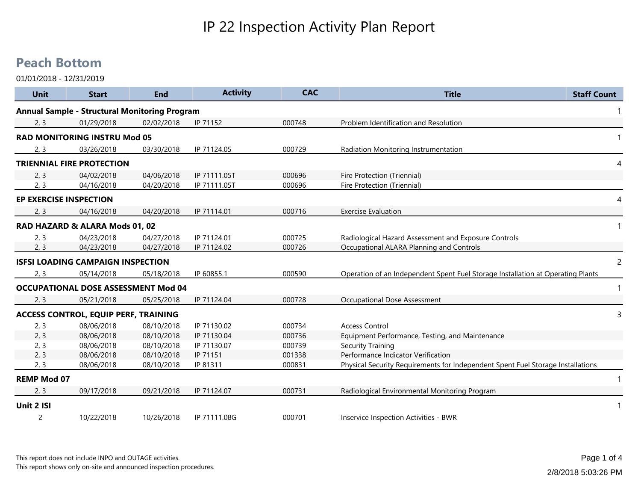## IP 22 Inspection Activity Plan Report

## **Peach Bottom**

| <b>Unit</b>                   | <b>Start</b>                                         | <b>End</b> | <b>Activity</b> | <b>CAC</b> | <b>Title</b>                                                                    | <b>Staff Count</b> |
|-------------------------------|------------------------------------------------------|------------|-----------------|------------|---------------------------------------------------------------------------------|--------------------|
|                               | <b>Annual Sample - Structural Monitoring Program</b> |            |                 |            |                                                                                 |                    |
| 2, 3                          | 01/29/2018                                           | 02/02/2018 | IP 71152        | 000748     | Problem Identification and Resolution                                           |                    |
|                               | <b>RAD MONITORING INSTRU Mod 05</b>                  |            |                 |            |                                                                                 | -1                 |
| 2, 3                          | 03/26/2018                                           | 03/30/2018 | IP 71124.05     | 000729     | Radiation Monitoring Instrumentation                                            |                    |
|                               | <b>TRIENNIAL FIRE PROTECTION</b>                     |            |                 |            |                                                                                 | 4                  |
| 2, 3                          | 04/02/2018                                           | 04/06/2018 | IP 71111.05T    | 000696     | Fire Protection (Triennial)                                                     |                    |
| 2, 3                          | 04/16/2018                                           | 04/20/2018 | IP 71111.05T    | 000696     | Fire Protection (Triennial)                                                     |                    |
| <b>EP EXERCISE INSPECTION</b> |                                                      |            |                 |            |                                                                                 | 4                  |
| 2, 3                          | 04/16/2018                                           | 04/20/2018 | IP 71114.01     | 000716     | <b>Exercise Evaluation</b>                                                      |                    |
|                               | RAD HAZARD & ALARA Mods 01, 02                       |            |                 |            |                                                                                 | -1                 |
| 2, 3                          | 04/23/2018                                           | 04/27/2018 | IP 71124.01     | 000725     | Radiological Hazard Assessment and Exposure Controls                            |                    |
| 2, 3                          | 04/23/2018                                           | 04/27/2018 | IP 71124.02     | 000726     | Occupational ALARA Planning and Controls                                        |                    |
|                               | <b>ISFSI LOADING CAMPAIGN INSPECTION</b>             |            |                 |            |                                                                                 | $\overline{2}$     |
| 2, 3                          | 05/14/2018                                           | 05/18/2018 | IP 60855.1      | 000590     | Operation of an Independent Spent Fuel Storage Installation at Operating Plants |                    |
|                               | <b>OCCUPATIONAL DOSE ASSESSMENT Mod 04</b>           |            |                 |            |                                                                                 | $\mathbf{1}$       |
| 2, 3                          | 05/21/2018                                           | 05/25/2018 | IP 71124.04     | 000728     | <b>Occupational Dose Assessment</b>                                             |                    |
|                               | <b>ACCESS CONTROL, EQUIP PERF, TRAINING</b>          |            |                 |            |                                                                                 | 3                  |
| 2, 3                          | 08/06/2018                                           | 08/10/2018 | IP 71130.02     | 000734     | <b>Access Control</b>                                                           |                    |
| 2, 3                          | 08/06/2018                                           | 08/10/2018 | IP 71130.04     | 000736     | Equipment Performance, Testing, and Maintenance                                 |                    |
| 2, 3                          | 08/06/2018                                           | 08/10/2018 | IP 71130.07     | 000739     | <b>Security Training</b>                                                        |                    |
| 2, 3                          | 08/06/2018                                           | 08/10/2018 | IP 71151        | 001338     | Performance Indicator Verification                                              |                    |
| 2, 3                          | 08/06/2018                                           | 08/10/2018 | IP 81311        | 000831     | Physical Security Requirements for Independent Spent Fuel Storage Installations |                    |
| <b>REMP Mod 07</b>            |                                                      |            |                 |            |                                                                                 | $\mathbf{1}$       |
| 2, 3                          | 09/17/2018                                           | 09/21/2018 | IP 71124.07     | 000731     | Radiological Environmental Monitoring Program                                   |                    |
| Unit 2 ISI                    |                                                      |            |                 |            |                                                                                 | -1                 |
| 2                             | 10/22/2018                                           | 10/26/2018 | IP 71111.08G    | 000701     | Inservice Inspection Activities - BWR                                           |                    |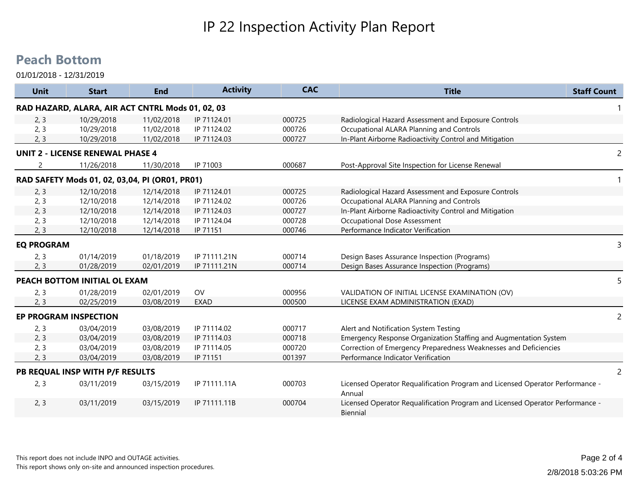## IP 22 Inspection Activity Plan Report

## **Peach Bottom**

| Unit              | <b>Start</b>                                     | <b>End</b> | <b>Activity</b> | <b>CAC</b> | <b>Title</b><br><b>Staff Count</b>                                                        |                |
|-------------------|--------------------------------------------------|------------|-----------------|------------|-------------------------------------------------------------------------------------------|----------------|
|                   | RAD HAZARD, ALARA, AIR ACT CNTRL Mods 01, 02, 03 |            |                 |            |                                                                                           |                |
| 2, 3              | 10/29/2018                                       | 11/02/2018 | IP 71124.01     | 000725     | Radiological Hazard Assessment and Exposure Controls                                      |                |
| 2, 3              | 10/29/2018                                       | 11/02/2018 | IP 71124.02     | 000726     | Occupational ALARA Planning and Controls                                                  |                |
| 2, 3              | 10/29/2018                                       | 11/02/2018 | IP 71124.03     | 000727     | In-Plant Airborne Radioactivity Control and Mitigation                                    |                |
|                   | <b>UNIT 2 - LICENSE RENEWAL PHASE 4</b>          |            |                 |            |                                                                                           | $\overline{c}$ |
|                   | 11/26/2018                                       | 11/30/2018 | IP 71003        | 000687     | Post-Approval Site Inspection for License Renewal                                         |                |
|                   | RAD SAFETY Mods 01, 02, 03,04, PI (OR01, PR01)   |            |                 |            |                                                                                           |                |
| 2, 3              | 12/10/2018                                       | 12/14/2018 | IP 71124.01     | 000725     | Radiological Hazard Assessment and Exposure Controls                                      |                |
| 2, 3              | 12/10/2018                                       | 12/14/2018 | IP 71124.02     | 000726     | Occupational ALARA Planning and Controls                                                  |                |
| 2, 3              | 12/10/2018                                       | 12/14/2018 | IP 71124.03     | 000727     | In-Plant Airborne Radioactivity Control and Mitigation                                    |                |
| 2, 3              | 12/10/2018                                       | 12/14/2018 | IP 71124.04     | 000728     | Occupational Dose Assessment                                                              |                |
| 2, 3              | 12/10/2018                                       | 12/14/2018 | IP 71151        | 000746     | Performance Indicator Verification                                                        |                |
| <b>EQ PROGRAM</b> |                                                  |            |                 |            |                                                                                           | 3              |
| 2, 3              | 01/14/2019                                       | 01/18/2019 | IP 71111.21N    | 000714     | Design Bases Assurance Inspection (Programs)                                              |                |
| 2, 3              | 01/28/2019                                       | 02/01/2019 | IP 71111.21N    | 000714     | Design Bases Assurance Inspection (Programs)                                              |                |
|                   | PEACH BOTTOM INITIAL OL EXAM                     |            |                 |            |                                                                                           | 5              |
| 2, 3              | 01/28/2019                                       | 02/01/2019 | OV              | 000956     | VALIDATION OF INITIAL LICENSE EXAMINATION (OV)                                            |                |
| 2, 3              | 02/25/2019                                       | 03/08/2019 | <b>EXAD</b>     | 000500     | LICENSE EXAM ADMINISTRATION (EXAD)                                                        |                |
|                   | <b>EP PROGRAM INSPECTION</b>                     |            |                 |            |                                                                                           | $\overline{2}$ |
| 2, 3              | 03/04/2019                                       | 03/08/2019 | IP 71114.02     | 000717     | Alert and Notification System Testing                                                     |                |
| 2, 3              | 03/04/2019                                       | 03/08/2019 | IP 71114.03     | 000718     | Emergency Response Organization Staffing and Augmentation System                          |                |
| 2, 3              | 03/04/2019                                       | 03/08/2019 | IP 71114.05     | 000720     | Correction of Emergency Preparedness Weaknesses and Deficiencies                          |                |
| 2, 3              | 03/04/2019                                       | 03/08/2019 | IP 71151        | 001397     | Performance Indicator Verification                                                        |                |
|                   | PB REQUAL INSP WITH P/F RESULTS                  |            |                 |            |                                                                                           | 2              |
| 2, 3              | 03/11/2019                                       | 03/15/2019 | IP 71111.11A    | 000703     | Licensed Operator Requalification Program and Licensed Operator Performance -<br>Annual   |                |
| 2, 3              | 03/11/2019                                       | 03/15/2019 | IP 71111.11B    | 000704     | Licensed Operator Requalification Program and Licensed Operator Performance -<br>Biennial |                |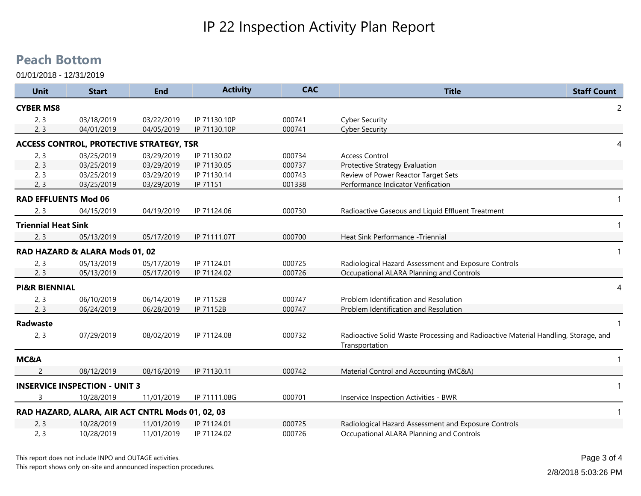## **Peach Bottom**

| <b>Unit</b>                 | <b>Start</b>                                     | <b>End</b> | <b>Activity</b> | <b>CAC</b> | <b>Title</b>                                                                                         | <b>Staff Count</b> |
|-----------------------------|--------------------------------------------------|------------|-----------------|------------|------------------------------------------------------------------------------------------------------|--------------------|
| <b>CYBER MS8</b>            |                                                  |            |                 |            |                                                                                                      | $\overline{c}$     |
| 2, 3                        | 03/18/2019                                       | 03/22/2019 | IP 71130.10P    | 000741     | <b>Cyber Security</b>                                                                                |                    |
| 2, 3                        | 04/01/2019                                       | 04/05/2019 | IP 71130.10P    | 000741     | <b>Cyber Security</b>                                                                                |                    |
|                             | <b>ACCESS CONTROL, PROTECTIVE STRATEGY, TSR</b>  |            |                 |            |                                                                                                      | 4                  |
| 2, 3                        | 03/25/2019                                       | 03/29/2019 | IP 71130.02     | 000734     | <b>Access Control</b>                                                                                |                    |
| 2, 3                        | 03/25/2019                                       | 03/29/2019 | IP 71130.05     | 000737     | Protective Strategy Evaluation                                                                       |                    |
| 2, 3                        | 03/25/2019                                       | 03/29/2019 | IP 71130.14     | 000743     | Review of Power Reactor Target Sets                                                                  |                    |
| 2, 3                        | 03/25/2019                                       | 03/29/2019 | IP 71151        | 001338     | Performance Indicator Verification                                                                   |                    |
| <b>RAD EFFLUENTS Mod 06</b> |                                                  |            |                 |            |                                                                                                      | 1                  |
| 2, 3                        | 04/15/2019                                       | 04/19/2019 | IP 71124.06     | 000730     | Radioactive Gaseous and Liquid Effluent Treatment                                                    |                    |
| <b>Triennial Heat Sink</b>  |                                                  |            |                 |            |                                                                                                      | $\mathbf{1}$       |
| 2, 3                        | 05/13/2019                                       | 05/17/2019 | IP 71111.07T    | 000700     | Heat Sink Performance -Triennial                                                                     |                    |
|                             | RAD HAZARD & ALARA Mods 01, 02                   |            |                 |            |                                                                                                      | $\mathbf{1}$       |
| 2, 3                        | 05/13/2019                                       | 05/17/2019 | IP 71124.01     | 000725     | Radiological Hazard Assessment and Exposure Controls                                                 |                    |
| 2, 3                        | 05/13/2019                                       | 05/17/2019 | IP 71124.02     | 000726     | Occupational ALARA Planning and Controls                                                             |                    |
| <b>PI&amp;R BIENNIAL</b>    |                                                  |            |                 |            |                                                                                                      | 4                  |
| 2, 3                        | 06/10/2019                                       | 06/14/2019 | IP 71152B       | 000747     | Problem Identification and Resolution                                                                |                    |
| 2, 3                        | 06/24/2019                                       | 06/28/2019 | IP 71152B       | 000747     | Problem Identification and Resolution                                                                |                    |
| <b>Radwaste</b>             |                                                  |            |                 |            |                                                                                                      | $\mathbf{1}$       |
| 2, 3                        | 07/29/2019                                       | 08/02/2019 | IP 71124.08     | 000732     | Radioactive Solid Waste Processing and Radioactive Material Handling, Storage, and<br>Transportation |                    |
| MC&A                        |                                                  |            |                 |            |                                                                                                      | $\mathbf{1}$       |
| 2                           | 08/12/2019                                       | 08/16/2019 | IP 71130.11     | 000742     | Material Control and Accounting (MC&A)                                                               |                    |
|                             | <b>INSERVICE INSPECTION - UNIT 3</b>             |            |                 |            |                                                                                                      | $\mathbf{1}$       |
| 3                           | 10/28/2019                                       | 11/01/2019 | IP 71111.08G    | 000701     | Inservice Inspection Activities - BWR                                                                |                    |
|                             | RAD HAZARD, ALARA, AIR ACT CNTRL Mods 01, 02, 03 |            |                 |            |                                                                                                      | $\mathbf{1}$       |
| 2, 3                        | 10/28/2019                                       | 11/01/2019 | IP 71124.01     | 000725     | Radiological Hazard Assessment and Exposure Controls                                                 |                    |
| 2, 3                        | 10/28/2019                                       | 11/01/2019 | IP 71124.02     | 000726     | Occupational ALARA Planning and Controls                                                             |                    |